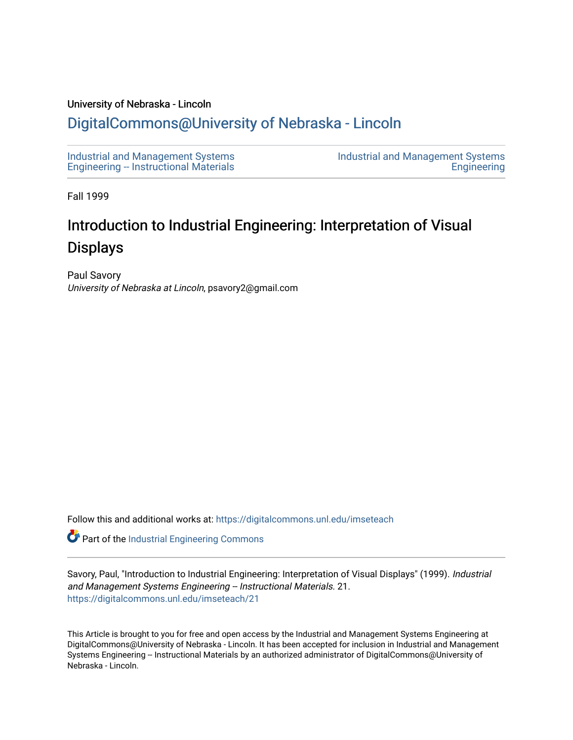#### University of Nebraska - Lincoln

# [DigitalCommons@University of Nebraska - Lincoln](https://digitalcommons.unl.edu/)

[Industrial and Management Systems](https://digitalcommons.unl.edu/imseteach)  [Engineering -- Instructional Materials](https://digitalcommons.unl.edu/imseteach)  [Industrial and Management Systems](https://digitalcommons.unl.edu/imse)  **Engineering** 

Fall 1999

# Introduction to Industrial Engineering: Interpretation of Visual Displays

Paul Savory University of Nebraska at Lincoln, psavory2@gmail.com

Follow this and additional works at: [https://digitalcommons.unl.edu/imseteach](https://digitalcommons.unl.edu/imseteach?utm_source=digitalcommons.unl.edu%2Fimseteach%2F21&utm_medium=PDF&utm_campaign=PDFCoverPages) 

Part of the [Industrial Engineering Commons](http://network.bepress.com/hgg/discipline/307?utm_source=digitalcommons.unl.edu%2Fimseteach%2F21&utm_medium=PDF&utm_campaign=PDFCoverPages)

Savory, Paul, "Introduction to Industrial Engineering: Interpretation of Visual Displays" (1999). Industrial and Management Systems Engineering -- Instructional Materials. 21. [https://digitalcommons.unl.edu/imseteach/21](https://digitalcommons.unl.edu/imseteach/21?utm_source=digitalcommons.unl.edu%2Fimseteach%2F21&utm_medium=PDF&utm_campaign=PDFCoverPages)

This Article is brought to you for free and open access by the Industrial and Management Systems Engineering at DigitalCommons@University of Nebraska - Lincoln. It has been accepted for inclusion in Industrial and Management Systems Engineering -- Instructional Materials by an authorized administrator of DigitalCommons@University of Nebraska - Lincoln.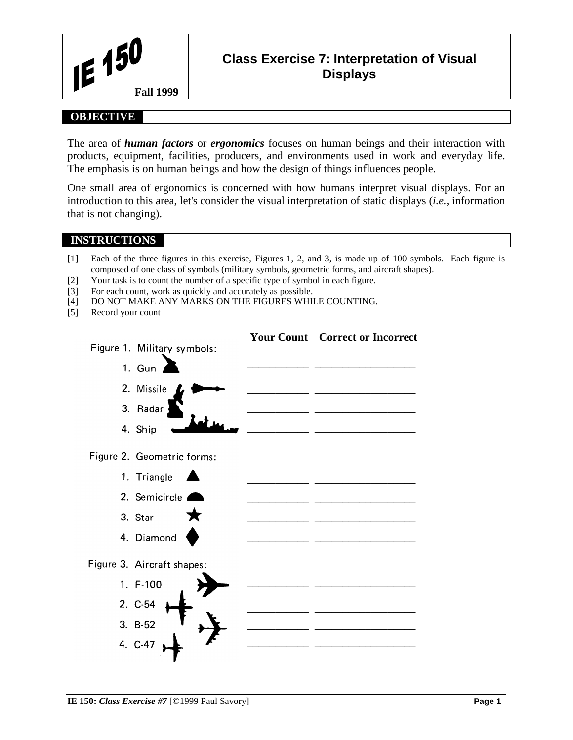

# **Class Exercise 7: Interpretation of Visual Displays**

### **OBJECTIVE**

The area of *human factors* or *ergonomics* focuses on human beings and their interaction with products, equipment, facilities, producers, and environments used in work and everyday life. The emphasis is on human beings and how the design of things influences people.

One small area of ergonomics is concerned with how humans interpret visual displays. For an introduction to this area, let's consider the visual interpretation of static displays (*i.e.*, information that is not changing).

#### **INSTRUCTIONS**

- [1] Each of the three figures in this exercise, Figures 1, 2, and 3, is made up of 100 symbols. Each figure is composed of one class of symbols (military symbols, geometric forms, and aircraft shapes).
- [2] Your task is to count the number of a specific type of symbol in each figure.
- [3] For each count, work as quickly and accurately as possible.
- [4] DO NOT MAKE ANY MARKS ON THE FIGURES WHILE COUNTING.
- [5] Record your count

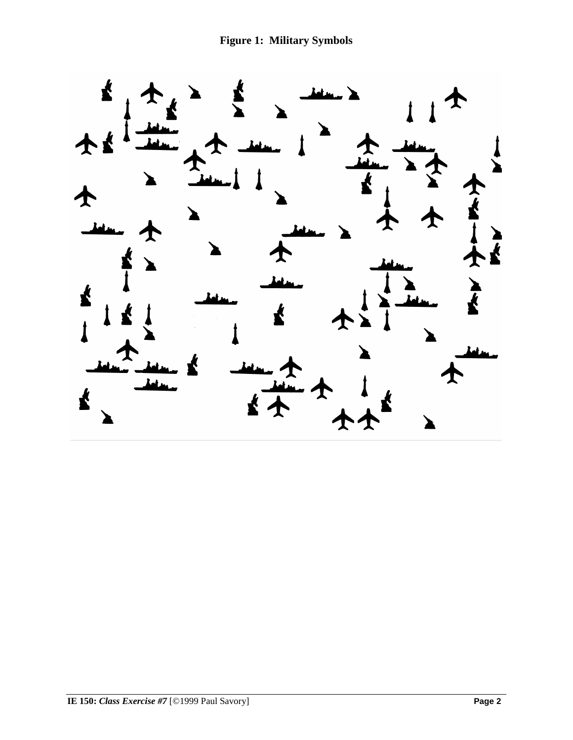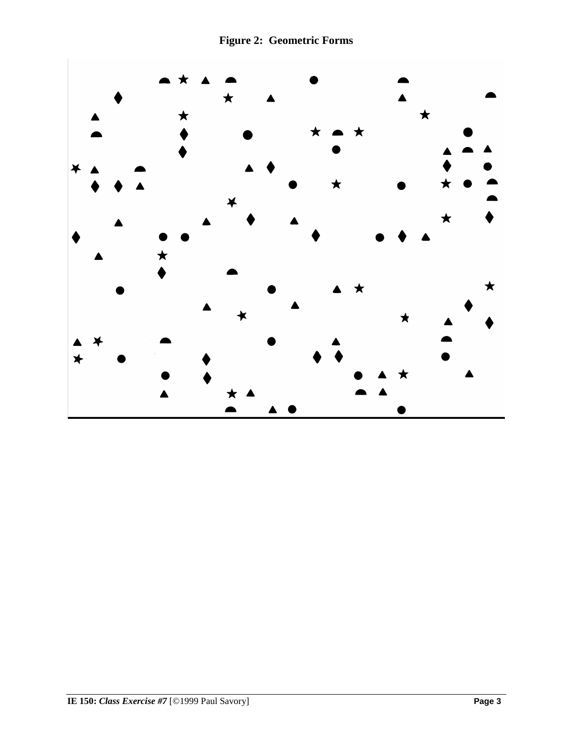**Figure 2: Geometric Forms**

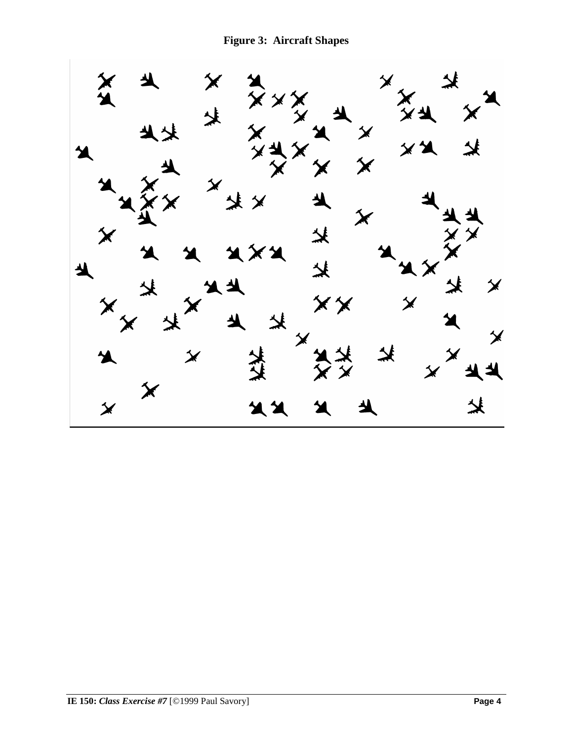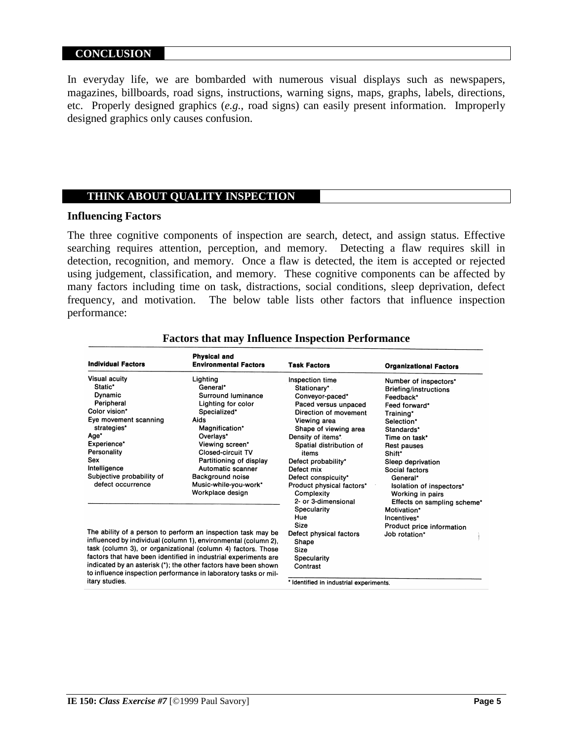#### **CONCLUSION**

In everyday life, we are bombarded with numerous visual displays such as newspapers, magazines, billboards, road signs, instructions, warning signs, maps, graphs, labels, directions, etc. Properly designed graphics (*e.g.*, road signs) can easily present information. Improperly designed graphics only causes confusion.

#### **THINK ABOUT QUALITY INSPECTION**

#### **Influencing Factors**

The three cognitive components of inspection are search, detect, and assign status. Effective searching requires attention, perception, and memory. Detecting a flaw requires skill in detection, recognition, and memory. Once a flaw is detected, the item is accepted or rejected using judgement, classification, and memory. These cognitive components can be affected by many factors including time on task, distractions, social conditions, sleep deprivation, defect frequency, and motivation. The below table lists other factors that influence inspection performance:

| <b>Individual Factors</b>                                                                                                                                                                                                                                                                                                                                                                                                 | <b>Physical and</b><br><b>Environmental Factors</b>                                                                                                                                                                                                                                            | <b>Task Factors</b>                                                                                                                                                                                                                                                                                                                                                     | <b>Organizational Factors</b>                                                                                                                                                                                                                                                                                                   |
|---------------------------------------------------------------------------------------------------------------------------------------------------------------------------------------------------------------------------------------------------------------------------------------------------------------------------------------------------------------------------------------------------------------------------|------------------------------------------------------------------------------------------------------------------------------------------------------------------------------------------------------------------------------------------------------------------------------------------------|-------------------------------------------------------------------------------------------------------------------------------------------------------------------------------------------------------------------------------------------------------------------------------------------------------------------------------------------------------------------------|---------------------------------------------------------------------------------------------------------------------------------------------------------------------------------------------------------------------------------------------------------------------------------------------------------------------------------|
| <b>Visual acuity</b><br>Static*<br>Dynamic<br>Peripheral<br>Color vision*<br>Eye movement scanning<br>strategies*<br>Age*<br>Experience*<br>Personality<br>Sex<br>Intelligence<br>Subjective probability of<br>defect occurrence                                                                                                                                                                                          | Lighting<br>General*<br>Surround luminance<br>Lighting for color<br>Specialized*<br>Aids<br>Magnification*<br>Overlays*<br>Viewing screen*<br><b>Closed-circuit TV</b><br>Partitioning of display<br>Automatic scanner<br><b>Background noise</b><br>Music-while-you-work*<br>Workplace design | Inspection time<br>Stationary*<br>Conveyor-paced*<br>Paced versus unpaced<br>Direction of movement<br>Viewing area<br>Shape of viewing area<br>Density of items*<br>Spatial distribution of<br>items<br>Defect probability*<br>Defect mix<br>Defect conspicuity*<br>Product physical factors*<br>Complexity<br>2- or 3-dimensional<br>Specularity<br>Hue<br><b>Size</b> | Number of inspectors*<br>Briefing/instructions<br>Feedback*<br>Feed forward*<br>Training*<br>Selection*<br>Standards*<br>Time on task*<br>Rest pauses<br>Shift*<br>Sleep deprivation<br>Social factors<br>General*<br>Isolation of inspectors*<br>Working in pairs<br>Effects on sampling scheme*<br>Motivation*<br>Incentives* |
| The ability of a person to perform an inspection task may be<br>influenced by individual (column 1), environmental (column 2),<br>task (column 3), or organizational (column 4) factors. Those<br>factors that have been identified in industrial experiments are<br>indicated by an asterisk (*); the other factors have been shown<br>to influence inspection performance in laboratory tasks or mil-<br>itary studies. |                                                                                                                                                                                                                                                                                                | Defect physical factors<br>Shape<br>Size<br>Specularity<br>Contrast<br>Identified in industrial experiments.                                                                                                                                                                                                                                                            | Product price information<br>Job rotation*                                                                                                                                                                                                                                                                                      |

#### **Factors that may Influence Inspection Performance**